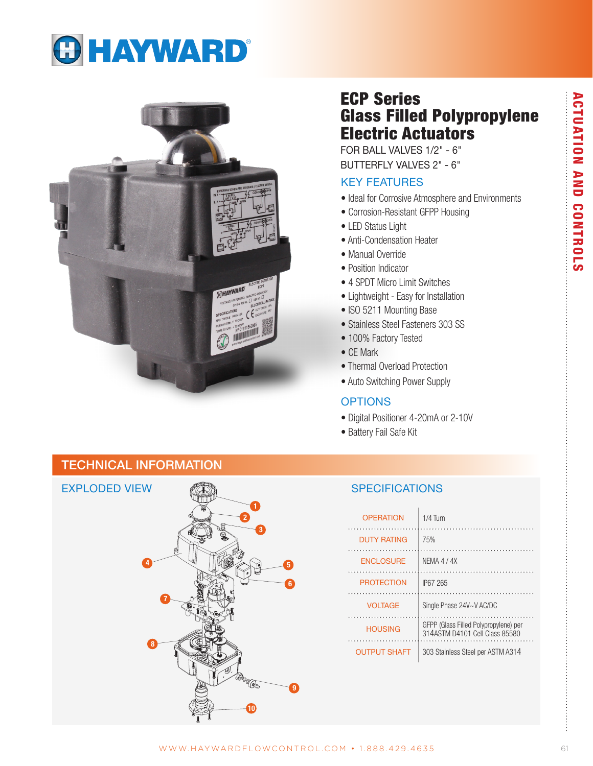# **GHAYWARD®**



# ECP Series Glass Filled Polypropylene Electric Actuators

FOR BALL VALVES 1/2" - 6" BUTTERFLY VALVES 2" - 6"

# KEY FEATURES

- Ideal for Corrosive Atmosphere and Environments
- Corrosion-Resistant GFPP Housing
- LED Status Light
- Anti-Condensation Heater
- Manual Override
- Position Indicator
- 4 SPDT Micro Limit Switches
- Lightweight Easy for Installation
- ISO 5211 Mounting Base
- Stainless Steel Fasteners 303 SS
- 100% Factory Tested
- CE Mark
- Thermal Overload Protection
- Auto Switching Power Supply

## **OPTIONS**

- Digital Positioner 4-20mA or 2-10V
- Battery Fail Safe Kit

# TECHNICAL INFORMATION



| <b>OPERATION</b>    | $1/4$ Turn                                                              |
|---------------------|-------------------------------------------------------------------------|
| <b>DUTY RATING</b>  | 75%                                                                     |
| <b>ENCLOSURE</b>    | NFMA 4 / 4X                                                             |
| <b>PROTECTION</b>   | IP67 265                                                                |
| <b>VOLTAGE</b>      | Single Phase 24V~V AC/DC                                                |
| <b>HOUSING</b>      | GFPP (Glass Filled Polypropylene) per<br>314ASTM D4101 Cell Class 85580 |
| <b>OUTPUT SHAFT</b> | 303 Stainless Steel per ASTM A314                                       |